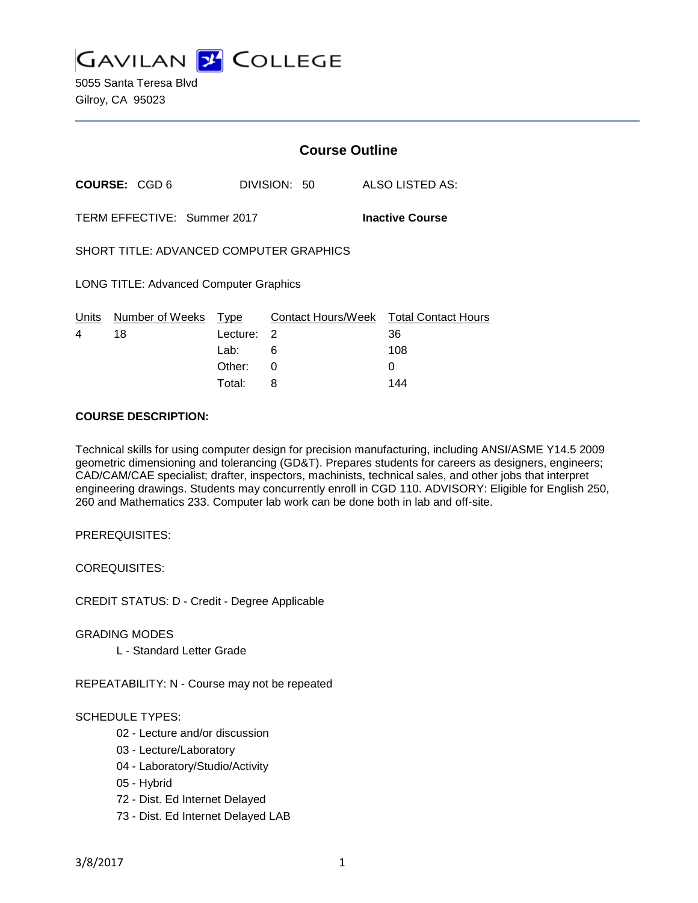

5055 Santa Teresa Blvd Gilroy, CA 95023

|                                               |                             |                          | <b>Course Outline</b> |                        |  |                                         |  |
|-----------------------------------------------|-----------------------------|--------------------------|-----------------------|------------------------|--|-----------------------------------------|--|
|                                               | COURSE: CGD 6               |                          | DIVISION: 50          |                        |  | ALSO LISTED AS:                         |  |
|                                               | TERM EFFECTIVE: Summer 2017 |                          |                       | <b>Inactive Course</b> |  |                                         |  |
| SHORT TITLE: ADVANCED COMPUTER GRAPHICS       |                             |                          |                       |                        |  |                                         |  |
| <b>LONG TITLE: Advanced Computer Graphics</b> |                             |                          |                       |                        |  |                                         |  |
| Units<br>4                                    | Number of Weeks<br>18       | Type<br>Lecture:<br>Lab: | 2<br>6                | Contact Hours/Week     |  | <b>Total Contact Hours</b><br>36<br>108 |  |
|                                               |                             | Other:                   | 0                     |                        |  | 0                                       |  |

Total: 8 144

#### **COURSE DESCRIPTION:**

Technical skills for using computer design for precision manufacturing, including ANSI/ASME Y14.5 2009 geometric dimensioning and tolerancing (GD&T). Prepares students for careers as designers, engineers; CAD/CAM/CAE specialist; drafter, inspectors, machinists, technical sales, and other jobs that interpret engineering drawings. Students may concurrently enroll in CGD 110. ADVISORY: Eligible for English 250, 260 and Mathematics 233. Computer lab work can be done both in lab and off-site.

PREREQUISITES:

COREQUISITES:

CREDIT STATUS: D - Credit - Degree Applicable

GRADING MODES

L - Standard Letter Grade

REPEATABILITY: N - Course may not be repeated

# SCHEDULE TYPES:

- 02 Lecture and/or discussion
- 03 Lecture/Laboratory
- 04 Laboratory/Studio/Activity
- 05 Hybrid
- 72 Dist. Ed Internet Delayed
- 73 Dist. Ed Internet Delayed LAB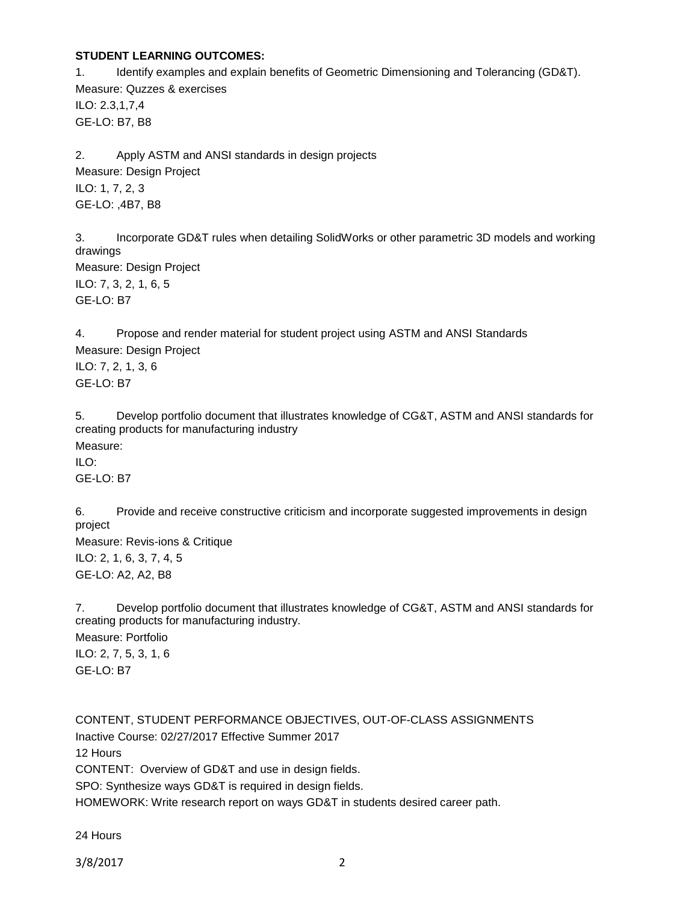# **STUDENT LEARNING OUTCOMES:**

1. Identify examples and explain benefits of Geometric Dimensioning and Tolerancing (GD&T). Measure: Quzzes & exercises ILO: 2.3,1,7,4 GE-LO: B7, B8

2. Apply ASTM and ANSI standards in design projects Measure: Design Project ILO: 1, 7, 2, 3 GE-LO: ,4B7, B8

3. Incorporate GD&T rules when detailing SolidWorks or other parametric 3D models and working drawings Measure: Design Project ILO: 7, 3, 2, 1, 6, 5 GE-LO: B7

4. Propose and render material for student project using ASTM and ANSI Standards Measure: Design Project ILO: 7, 2, 1, 3, 6 GE-LO: B7

5. Develop portfolio document that illustrates knowledge of CG&T, ASTM and ANSI standards for creating products for manufacturing industry Measure:  $II$  O: GE-LO: B7

6. Provide and receive constructive criticism and incorporate suggested improvements in design project Measure: Revis-ions & Critique ILO: 2, 1, 6, 3, 7, 4, 5 GE-LO: A2, A2, B8

7. Develop portfolio document that illustrates knowledge of CG&T, ASTM and ANSI standards for creating products for manufacturing industry. Measure: Portfolio ILO: 2, 7, 5, 3, 1, 6 GE-LO: B7

CONTENT, STUDENT PERFORMANCE OBJECTIVES, OUT-OF-CLASS ASSIGNMENTS Inactive Course: 02/27/2017 Effective Summer 2017 12 Hours CONTENT: Overview of GD&T and use in design fields. SPO: Synthesize ways GD&T is required in design fields. HOMEWORK: Write research report on ways GD&T in students desired career path.

24 Hours

3/8/2017 2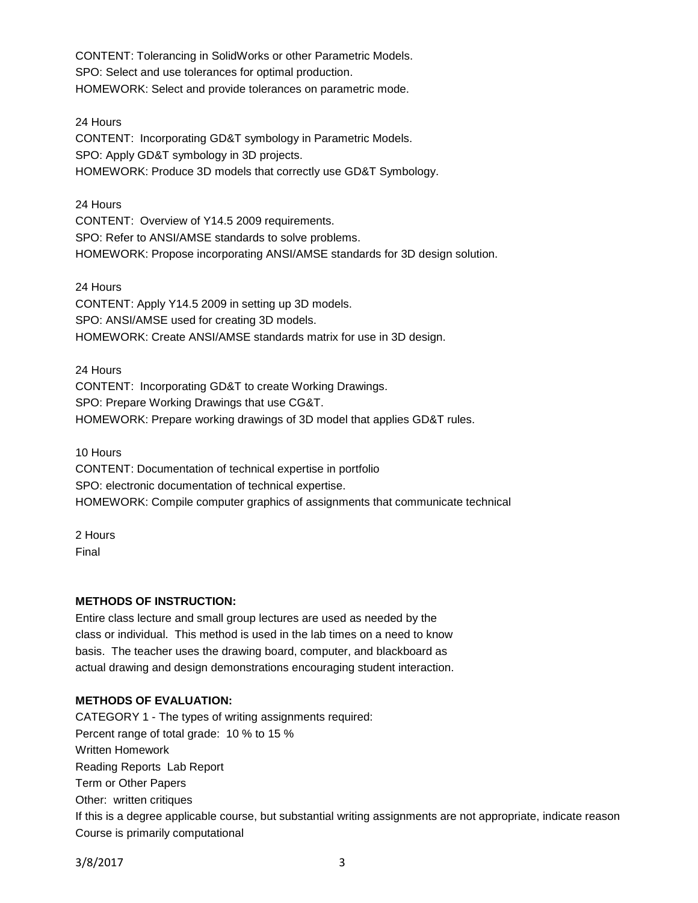CONTENT: Tolerancing in SolidWorks or other Parametric Models. SPO: Select and use tolerances for optimal production. HOMEWORK: Select and provide tolerances on parametric mode.

24 Hours

CONTENT: Incorporating GD&T symbology in Parametric Models. SPO: Apply GD&T symbology in 3D projects. HOMEWORK: Produce 3D models that correctly use GD&T Symbology.

24 Hours CONTENT: Overview of Y14.5 2009 requirements. SPO: Refer to ANSI/AMSE standards to solve problems. HOMEWORK: Propose incorporating ANSI/AMSE standards for 3D design solution.

24 Hours CONTENT: Apply Y14.5 2009 in setting up 3D models. SPO: ANSI/AMSE used for creating 3D models. HOMEWORK: Create ANSI/AMSE standards matrix for use in 3D design.

24 Hours CONTENT: Incorporating GD&T to create Working Drawings. SPO: Prepare Working Drawings that use CG&T. HOMEWORK: Prepare working drawings of 3D model that applies GD&T rules.

10 Hours CONTENT: Documentation of technical expertise in portfolio SPO: electronic documentation of technical expertise. HOMEWORK: Compile computer graphics of assignments that communicate technical

2 Hours Final

# **METHODS OF INSTRUCTION:**

Entire class lecture and small group lectures are used as needed by the class or individual. This method is used in the lab times on a need to know basis. The teacher uses the drawing board, computer, and blackboard as actual drawing and design demonstrations encouraging student interaction.

# **METHODS OF EVALUATION:**

CATEGORY 1 - The types of writing assignments required: Percent range of total grade: 10 % to 15 % Written Homework Reading Reports Lab Report Term or Other Papers Other: written critiques If this is a degree applicable course, but substantial writing assignments are not appropriate, indicate reason Course is primarily computational

3/8/2017 3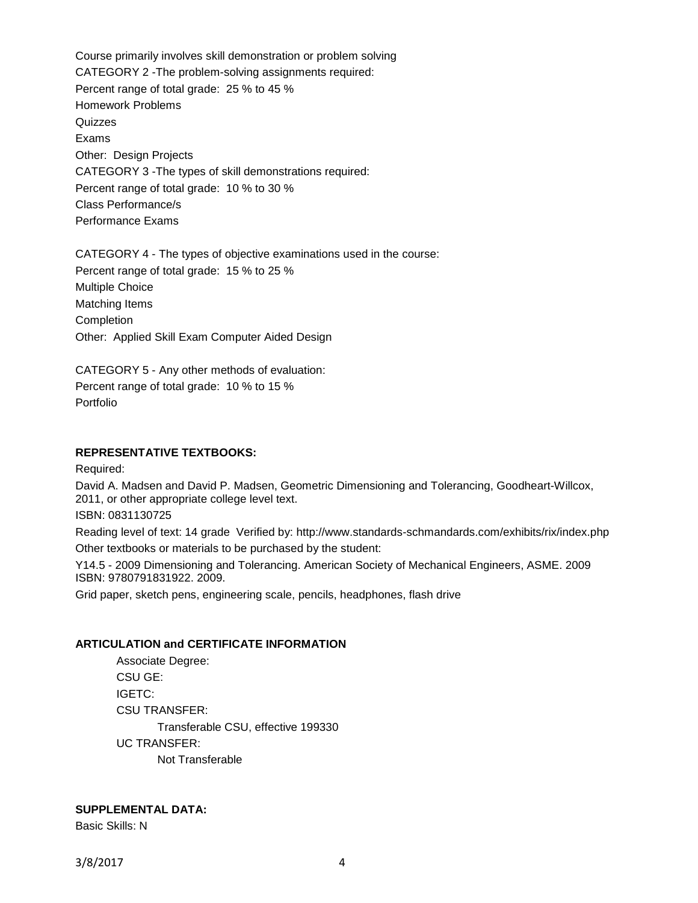Course primarily involves skill demonstration or problem solving CATEGORY 2 -The problem-solving assignments required: Percent range of total grade: 25 % to 45 % Homework Problems **Quizzes** Exams Other: Design Projects CATEGORY 3 -The types of skill demonstrations required: Percent range of total grade: 10 % to 30 % Class Performance/s Performance Exams

CATEGORY 4 - The types of objective examinations used in the course: Percent range of total grade: 15 % to 25 % Multiple Choice Matching Items Completion Other: Applied Skill Exam Computer Aided Design

CATEGORY 5 - Any other methods of evaluation: Percent range of total grade: 10 % to 15 % Portfolio

### **REPRESENTATIVE TEXTBOOKS:**

Required:

David A. Madsen and David P. Madsen, Geometric Dimensioning and Tolerancing, Goodheart-Willcox, 2011, or other appropriate college level text.

ISBN: 0831130725

Reading level of text: 14 grade Verified by: http://www.standards-schmandards.com/exhibits/rix/index.php Other textbooks or materials to be purchased by the student:

Y14.5 - 2009 Dimensioning and Tolerancing. American Society of Mechanical Engineers, ASME. 2009 ISBN: 9780791831922. 2009.

Grid paper, sketch pens, engineering scale, pencils, headphones, flash drive

#### **ARTICULATION and CERTIFICATE INFORMATION**

Associate Degree: CSU GE: IGETC: CSU TRANSFER: Transferable CSU, effective 199330 UC TRANSFER: Not Transferable

# **SUPPLEMENTAL DATA:**

Basic Skills: N

3/8/2017 4